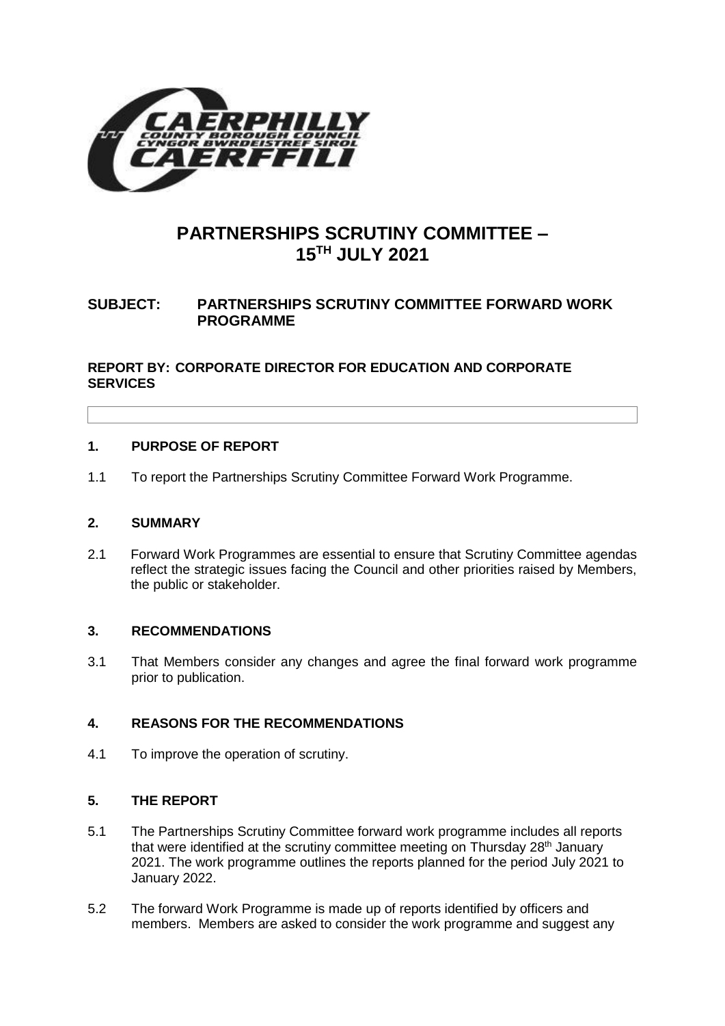

# **PARTNERSHIPS SCRUTINY COMMITTEE – 15TH JULY 2021**

# **SUBJECT: PARTNERSHIPS SCRUTINY COMMITTEE FORWARD WORK PROGRAMME**

# **REPORT BY: CORPORATE DIRECTOR FOR EDUCATION AND CORPORATE SERVICES**

## **1. PURPOSE OF REPORT**

1.1 To report the Partnerships Scrutiny Committee Forward Work Programme.

## **2. SUMMARY**

2.1 Forward Work Programmes are essential to ensure that Scrutiny Committee agendas reflect the strategic issues facing the Council and other priorities raised by Members, the public or stakeholder.

## **3. RECOMMENDATIONS**

3.1 That Members consider any changes and agree the final forward work programme prior to publication.

## **4. REASONS FOR THE RECOMMENDATIONS**

4.1 To improve the operation of scrutiny.

# **5. THE REPORT**

- 5.1 The Partnerships Scrutiny Committee forward work programme includes all reports that were identified at the scrutiny committee meeting on Thursday 28<sup>th</sup> January 2021. The work programme outlines the reports planned for the period July 2021 to January 2022.
- 5.2 The forward Work Programme is made up of reports identified by officers and members. Members are asked to consider the work programme and suggest any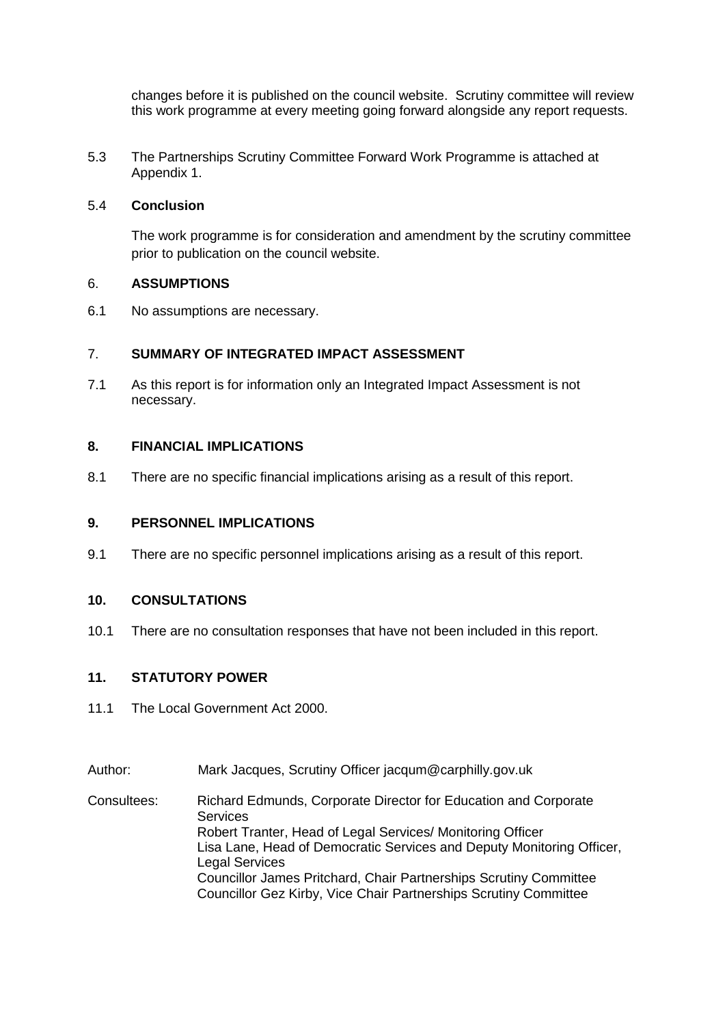changes before it is published on the council website. Scrutiny committee will review this work programme at every meeting going forward alongside any report requests.

5.3 The Partnerships Scrutiny Committee Forward Work Programme is attached at Appendix 1.

#### 5.4 **Conclusion**

The work programme is for consideration and amendment by the scrutiny committee prior to publication on the council website.

#### 6. **ASSUMPTIONS**

6.1 No assumptions are necessary.

## 7. **SUMMARY OF INTEGRATED IMPACT ASSESSMENT**

7.1 As this report is for information only an Integrated Impact Assessment is not necessary.

### **8. FINANCIAL IMPLICATIONS**

8.1 There are no specific financial implications arising as a result of this report.

#### **9. PERSONNEL IMPLICATIONS**

9.1 There are no specific personnel implications arising as a result of this report.

## **10. CONSULTATIONS**

10.1 There are no consultation responses that have not been included in this report.

## **11. STATUTORY POWER**

- 11.1 The Local Government Act 2000.
- Author: Mark Jacques, Scrutiny Officer jacqum@carphilly.gov.uk

Consultees: Richard Edmunds, Corporate Director for Education and Corporate **Services** Robert Tranter, Head of Legal Services/ Monitoring Officer Lisa Lane, Head of Democratic Services and Deputy Monitoring Officer, Legal Services Councillor James Pritchard, Chair Partnerships Scrutiny Committee Councillor Gez Kirby, Vice Chair Partnerships Scrutiny Committee